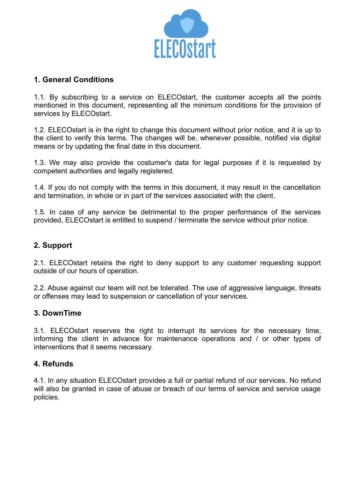

### 1. General Conditions

1.1. By subscribing to a service on ELECOstart, the customer accepts all the points mentioned in this document, representing all the minimum conditions for the provision of services by ELECOstart.

1.2. ELECOstart is in the right to change this document without prior notice, and it is up to the client to verify this terms. The changes will be, whenever possible, notified via digital means or by updating the final date in this document.

1.3. We may also provide the costumer's data for legal purposes if it is requested by competent authorities and legally registered.

1.4. If you do not comply with the terms in this document, it may result in the cancellation and termination, in whole or in part of the services associated with the client.

1.5. In case of any service be detrimental to the proper performance of the services provided, ELECOstart is entitled to suspend / terminate the service without prior notice.

### 2. Support

2.1. ELECOstart retains the right to deny support to any customer requesting support outside of our hours of operation.

2.2. Abuse against our team will not be tolerated. The use of aggressive language, threats or offenses may lead to suspension or cancellation of your services.

#### 3. DownTime

3.1. ELECOstart reserves the right to interrupt its services for the necessary time, informing the client in advance for maintenance operations and / or other types of interventions that it seems necessary.

#### 4. Refunds

4.1. In any situation ELECOstart provides a full or partial refund of our services. No refund will also be granted in case of abuse or breach of our terms of service and service usage policies.